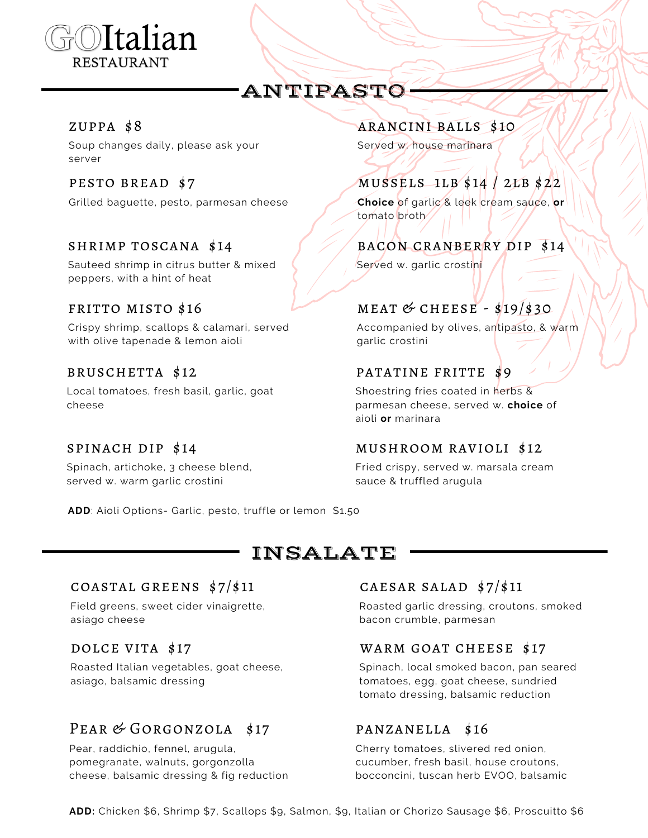

# ANTIPASTO

### zuppa \$8

Soup changes daily, please ask your server

Grilled baguette, pesto, parmesan cheese **Choice** of garlic & leek cream sauce, **or**

Sauteed shrimp in citrus butter & mixed peppers, with a hint of heat

Crispy shrimp, scallops & calamari, served with olive tapenade & lemon aioli

Local tomatoes, fresh basil, garlic, goat cheese

### spinach dip \$14

Spinach, artichoke, 3 cheese blend, served w. warm garlic crostini

**ADD**: Aioli Options- Garlic, pesto, truffle or lemon \$1.50

## INSALATE

#### COASTAL GREENS  $\frac{s7}{s11}$  CAESAR SALAD  $\frac{s7}{s11}$

Field greens, sweet cider vinaigrette, asiago cheese

Roasted Italian vegetables, goat cheese, asiago, balsamic dressing

## PEAR & GORGONZOLA \$17

Pear, raddichio, fennel, arugula, pomegranate, walnuts, gorgonzolla cheese, balsamic dressing & fig reduction

### arancini balls \$10

Served w. house marinara

## PESTO BREAD \$7 MUSSELS 1LB \$14 / 2LB \$22

tomato broth

### shrimp toscana \$14 bacon cranberry dip \$14

Served w. garlic crostini

## FRITTO MISTO \$16 meat  $M = M = 19/530$

Accompanied by olives, antipasto, & warm garlic crostini

## bruschetta \$12 patatine fritte \$9

Shoestring fries coated in herbs & parmesan cheese, served w. **choice** of aioli **or** marinara

### mushroom ravioli \$12

Fried crispy, served w. marsala cream sauce & truffled arugula

Roasted garlic dressing, croutons, smoked bacon crumble, parmesan

### DOLCE VITA \$17 WARM GOAT CHEESE \$17

Spinach, local smoked bacon, pan seared tomatoes, egg, goat cheese, sundried tomato dressing, balsamic reduction

### panzanella \$16

Cherry tomatoes, slivered red onion, cucumber, fresh basil, house croutons, bocconcini, tuscan herb EVOO, balsamic

**ADD:** Chicken \$6, Shrimp \$7, Scallops \$9, Salmon, \$9, Italian or Chorizo Sausage \$6, Proscuitto \$6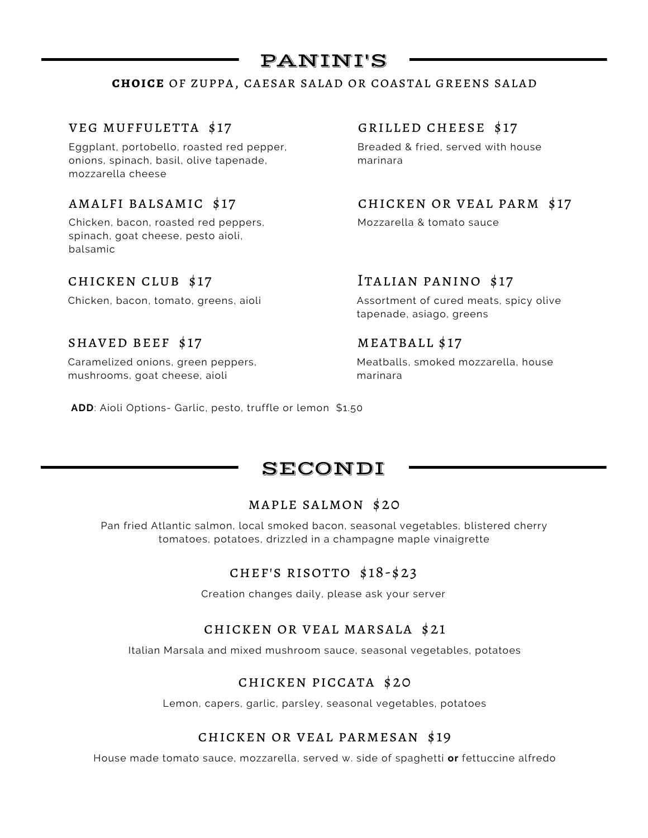## PANINI'S

#### **choice** of zuppa, caesar salad or coastal greens salad

#### veg muffuletta \$17 grilled cheese \$17

Eggplant, portobello, roasted red pepper, onions, spinach, basil, olive tapenade, mozzarella cheese

Chicken, bacon, roasted red peppers, spinach, goat cheese, pesto aioli, balsamic

#### SHAVED BEEF \$17 MEATBALL \$17

Caramelized onions, green peppers, mushrooms, goat cheese, aioli

Breaded & fried, served with house marinara

amalfi balsamic \$17 chicken or veal parm \$17

Mozzarella & tomato sauce

### chicken club \$17 Italian panino \$17

Chicken, bacon, tomato, greens, aioli Assortment of cured meats, spicy olive tapenade, asiago, greens

Meatballs, smoked mozzarella, house marinara

**ADD**: Aioli Options- Garlic, pesto, truffle or lemon \$1.50

## SECONDI

#### maple salmon \$20

Pan fried Atlantic salmon, local smoked bacon, seasonal vegetables, blistered cherry tomatoes, potatoes, drizzled in a champagne maple vinaigrette

#### chef's risotto \$18-\$23

Creation changes daily, please ask your server

#### chicken or veal marsala \$21

Italian Marsala and mixed mushroom sauce, seasonal vegetables, potatoes

#### chicken piccata \$20

Lemon, capers, garlic, parsley, seasonal vegetables, potatoes

#### chicken or veal parmesan \$19

House made tomato sauce, mozzarella, served w. side of spaghetti **or** fettuccine alfredo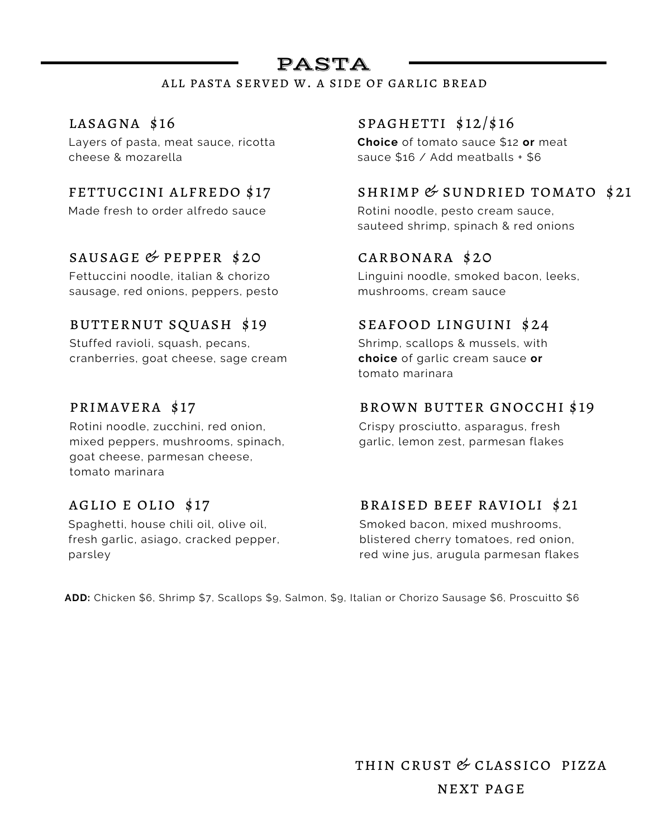# PASTA

### all pasta served w. a side of garlic bread

Layers of pasta, meat sauce, ricotta cheese & mozarella

Made fresh to order alfredo sauce Rotini noodle, pesto cream sauce,

## SAUSAGE  $&$  PEPPER \$20

Fettuccini noodle, italian & chorizo sausage, red onions, peppers, pesto

### butternut squash \$19

Stuffed ravioli, squash, pecans, cranberries, goat cheese, sage cream

## primavera \$17

Rotini noodle, zucchini, red onion, mixed peppers, mushrooms, spinach, goat cheese, parmesan cheese, tomato marinara

### aglio e olio \$17

Spaghetti, house chili oil, olive oil, fresh garlic, asiago, cracked pepper, parsley

## LASAGNA  $$16$  SPAGHETTI  $$12/\$16$

**Choice** of tomato sauce \$12 **or** meat sauce \$16 / Add meatballs + \$6

## FETTUCCINI ALFREDO \$17 SHRIMP  $&$  SUNDRIED TOMATO \$21

sauteed shrimp, spinach & red onions

### carbonara \$20

Linguini noodle, smoked bacon, leeks, mushrooms, cream sauce

### seafood linguini \$24

Shrimp, scallops & mussels, with **choice** of garlic cream sauce **or** tomato marinara

### brown butter gnocchi \$19

Crispy prosciutto, asparagus, fresh garlic, lemon zest, parmesan flakes

### braised beef ravioli \$21

Smoked bacon, mixed mushrooms, blistered cherry tomatoes, red onion, red wine jus, arugula parmesan flakes

**ADD:** Chicken \$6, Shrimp \$7, Scallops \$9, Salmon, \$9, Italian or Chorizo Sausage \$6, Proscuitto \$6

thin crust & classico pizza next page